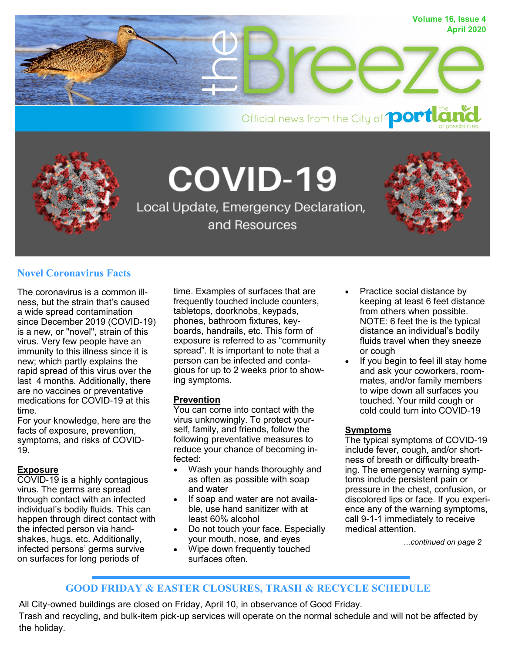

Official news from the City of **portla** 



**COVID-19** 

Local Update, Emergency Declaration, and Resources

## **Novel Coronavirus Facts**

The coronavirus is a common illness, but the strain that's caused a wide spread contamination since December 2019 (COVID-19) is a new, or "novel", strain of this virus. Very few people have an immunity to this illness since it is new; which partly explains the rapid spread of this virus over the last 4 months. Additionally, there are no vaccines or preventative medications for COVID-19 at this time.

For your knowledge, here are the facts of exposure, prevention, symptoms, and risks of COVID-19.

#### **Exposure**

COVID-19 is a highly contagious virus. The germs are spread through contact with an infected individual's bodily fluids. This can happen through direct contact with the infected person via handshakes, hugs, etc. Additionally, infected persons' germs survive on surfaces for long periods of

time. Examples of surfaces that are frequently touched include counters, tabletops, doorknobs, keypads, phones, bathroom fixtures, keyboards, handrails, etc. This form of exposure is referred to as "community spread". It is important to note that a person can be infected and contagious for up to 2 weeks prior to showing symptoms.

## **Prevention**

You can come into contact with the virus unknowingly. To protect yourself, family, and friends, follow the following preventative measures to reduce your chance of becoming infected:

- Wash your hands thoroughly and as often as possible with soap and water
- If soap and water are not available, use hand sanitizer with at least 60% alcohol
- Do not touch your face. Especially your mouth, nose, and eyes
- Wipe down frequently touched surfaces often.
- Practice social distance by keeping at least 6 feet distance from others when possible. NOTE: 6 feet the is the typical distance an individual's bodily fluids travel when they sneeze or cough
- If you begin to feel ill stay home and ask your coworkers, roommates, and/or family members to wipe down all surfaces you touched. Your mild cough or cold could turn into COVID-19

#### **Symptoms**

The typical symptoms of COVID-19 include fever, cough, and/or shortness of breath or difficulty breathing. The emergency warning symptoms include persistent pain or pressure in the chest, confusion, or discolored lips or face. If you experience any of the warning symptoms, call 9-1-1 immediately to receive medical attention.

*...continued on page 2*

## **GOOD FRIDAY & EASTER CLOSURES, TRASH & RECYCLE SCHEDULE**

All City-owned buildings are closed on Friday, April 10, in observance of Good Friday. Trash and recycling, and bulk-item pick-up services will operate on the normal schedule and will not be affected by the holiday.